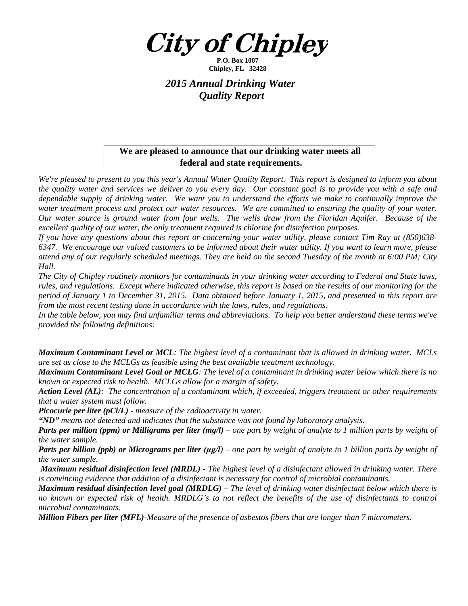

**P.O. Box 1007 Chipley, FL 32428**

## *2015 Annual Drinking Water Quality Report*

## **We are pleased to announce that our drinking water meets all federal and state requirements.**

We're pleased to present to you this year's Annual Water Quality Report. This report is designed to inform you about the quality water and services we deliver to you every day. Our constant goal is to provide you with a safe and dependable supply of drinking water. We want you to understand the efforts we make to continually improve the water treatment process and protect our water resources. We are committed to ensuring the quality of your water. Our water source is ground water from four wells. The wells draw from the Floridan Aquifer. Because of the *excellent quality of our water, the only treatment required is chlorine for disinfection purposes.*

If you have any questions about this report or concerning your water utility, please contact Tim Ray at  $(850)638$ -6347. We encourage our valued customers to be informed about their water utility. If you want to learn more, please attend any of our regularly scheduled meetings. They are held on the second Tuesday of the month at 6:00 PM; City *Hall.*

The City of Chipley routinely monitors for contaminants in your drinking water according to Federal and State laws, rules, and regulations. Except where indicated otherwise, this report is based on the results of our monitoring for the period of January 1 to December 31, 2015. Data obtained before January 1, 2015, and presented in this report are *from the most recent testing done in accordance with the laws, rules, and regulations.* 

In the table below, you may find unfamiliar terms and abbreviations. To help you better understand these terms we've *provided the following definitions:*

**Maximum Contaminant Level or MCL**: The highest level of a contaminant that is allowed in drinking water. MCLs *are set as close to the MCLGs as feasible using the best available treatment technology.*

**Maximum Contaminant Level Goal or MCLG**: The level of a contaminant in drinking water below which there is no *known or expected risk to health. MCLGs allow for a margin of safety.*

Action Level (AL): The concentration of a contaminant which, if exceeded, triggers treatment or other requirements *that a water system must follow.*

*Picocurie per liter (pCi/L) - measure of the radioactivity in water.*

*"ND" means not detected and indicates that the substance was not found by laboratory analysis.*

**Parts per million (ppm) or Milligrams per liter (mg/l)** – one part by weight of analyte to 1 million parts by weight of *the water sample.*

**Parts per billion (ppb) or Micrograms per liter (µg/l)** – one part by weight of analyte to 1 billion parts by weight of *the water sample.*

**Maximum residual disinfection level (MRDL)** - The highest level of a disinfectant allowed in drinking water. There *is convincing evidence that addition of a disinfectant is necessary for control of microbial contaminants.* 

**Maximum residual disinfection level goal (MRDLG)** – The level of drinking water disinfectant below which there is no known or expected risk of health. MRDLG's to not reflect the benefits of the use of disinfectants to control *microbial contaminants.*

*Million Fibers per liter (MFL)-Measure of the presence of asbestos fibers that are longer than 7 micrometers.*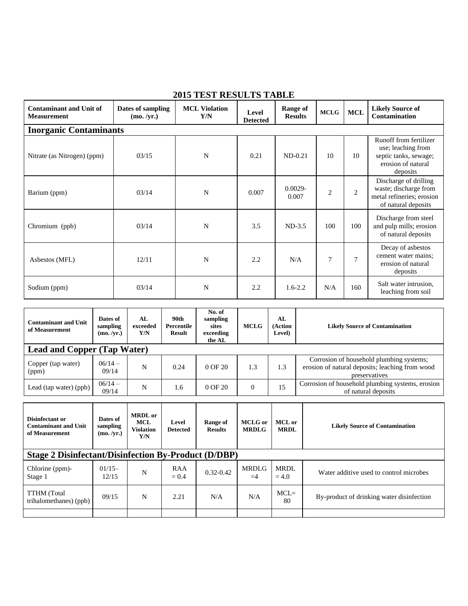| 2013 тері Керсетр Ілбее                              |                                 |                             |                          |                                   |                |                |                                                                                                         |  |  |
|------------------------------------------------------|---------------------------------|-----------------------------|--------------------------|-----------------------------------|----------------|----------------|---------------------------------------------------------------------------------------------------------|--|--|
| <b>Contaminant and Unit of</b><br><b>Measurement</b> | Dates of sampling<br>(mo. /yr.) | <b>MCL Violation</b><br>Y/N | Level<br><b>Detected</b> | <b>Range of</b><br><b>Results</b> | <b>MCLG</b>    | <b>MCL</b>     | <b>Likely Source of</b><br><b>Contamination</b>                                                         |  |  |
| <b>Inorganic Contaminants</b>                        |                                 |                             |                          |                                   |                |                |                                                                                                         |  |  |
| Nitrate (as Nitrogen) (ppm)                          | 03/15                           | N                           | 0.21                     | $ND-0.21$                         | 10             | 10             | Runoff from fertilizer<br>use; leaching from<br>septic tanks, sewage;<br>erosion of natural<br>deposits |  |  |
| Barium (ppm)                                         | 03/14                           | N                           | 0.007                    | $0.0029 -$<br>0.007               | $\overline{c}$ | $\overline{2}$ | Discharge of drilling<br>waste; discharge from<br>metal refineries; erosion<br>of natural deposits      |  |  |
| Chromium (ppb)                                       | 03/14                           | N                           | 3.5                      | $ND-3.5$                          | 100            | 100            | Discharge from steel<br>and pulp mills; erosion<br>of natural deposits                                  |  |  |
| Asbestos (MFL)                                       | 12/11                           | N                           | 2.2                      | N/A                               | 7              | $\tau$         | Decay of asbestos<br>cement water mains;<br>erosion of natural<br>deposits                              |  |  |
| Sodium (ppm)                                         | 03/14                           | N                           | 2.2                      | $1.6 - 2.2$                       | N/A            | 160            | Salt water intrusion,<br>leaching from soil                                                             |  |  |

## **2015 TEST RESULTS TABLE**

| <b>Contaminant and Unit</b><br>of Measurement | Dates of<br>sampling<br>(mo. /yr.) | AL<br>exceeded<br>Y/N | 90th<br>Percentile<br><b>Result</b> | No. of<br>sampling<br>sites<br>exceeding<br>the AL | <b>MCLG</b> | AL<br>(Action<br><b>Level)</b> | <b>Likely Source of Contamination</b>                                                                        |
|-----------------------------------------------|------------------------------------|-----------------------|-------------------------------------|----------------------------------------------------|-------------|--------------------------------|--------------------------------------------------------------------------------------------------------------|
| <b>Lead and Copper (Tap Water)</b>            |                                    |                       |                                     |                                                    |             |                                |                                                                                                              |
| Copper (tap water)<br>(ppm)                   | $06/14 -$<br>09/14                 | N                     | 0.24                                | $0$ OF $20$                                        | 1.3         | 1.3                            | Corrosion of household plumbing systems;<br>erosion of natural deposits; leaching from wood<br>preservatives |
| Lead (tap water) (ppb)                        | $06/14 -$<br>09/14                 | N                     | 1.6                                 | $0$ OF $20$                                        | $\Omega$    | 15                             | Corrosion of household plumbing systems, erosion<br>of natural deposits                                      |

| Disinfectant or<br><b>Contaminant and Unit</b><br>of Measurement | Dates of<br>sampling<br>(mo. /yr.) | <b>MRDL</b> or<br><b>MCL</b><br><b>Violation</b><br>Y/N | Level<br><b>Detected</b> | Range of<br><b>Results</b> | MCLG or<br><b>MRDLG</b> | MCL or<br><b>MRDL</b> | <b>Likely Source of Contamination</b>     |  |
|------------------------------------------------------------------|------------------------------------|---------------------------------------------------------|--------------------------|----------------------------|-------------------------|-----------------------|-------------------------------------------|--|
| <b>Stage 2 Disinfectant/Disinfection By-Product (D/DBP)</b>      |                                    |                                                         |                          |                            |                         |                       |                                           |  |
| Chlorine (ppm)-<br>Stage 1                                       | $01/15-$<br>12/15                  | N                                                       | RAA<br>$= 0.4$           | $0.32 - 0.42$              | <b>MRDLG</b><br>$=4$    | MRDL<br>$= 4.0$       | Water additive used to control microbes   |  |
| <b>TTHM</b> (Total<br>trihalomethanes) (ppb)                     | 09/15                              | N                                                       | 2.21                     | N/A                        | N/A                     | $MCL=$<br>80          | By-product of drinking water disinfection |  |
|                                                                  |                                    |                                                         |                          |                            |                         |                       |                                           |  |